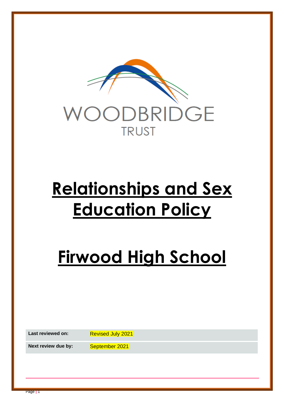

# **Relationships and Sex Education Policy**

# **Firwood High School**

Last reviewed on: Revised July 2021

**Next review due by:** September 2021

Page **|** 1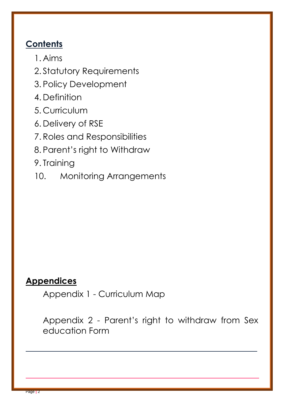# **Contents**

- 1. Aims
- 2. Statutory Requirements
- 3. Policy Development
- 4. Definition
- 5. Curriculum
- 6. Delivery of RSE
- 7. Roles and Responsibilities
- 8. Parent's right to Withdraw
- 9. Training
- 10. Monitoring Arrangements

# **Appendices**

Appendix 1 - Curriculum Map

Appendix 2 - Parent's right to withdraw from Sex education Form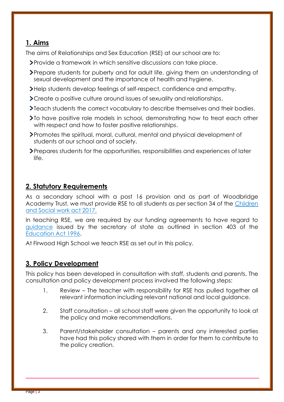# **1. Aims**

The aims of Relationships and Sex Education (RSE) at our school are to:

- Provide a framework in which sensitive discussions can take place.
- Prepare students for puberty and for adult life, giving them an understanding of sexual development and the importance of health and hygiene.
- Help students develop feelings of self-respect, confidence and empathy.
- Create a positive culture around issues of sexuality and relationships.
- Teach students the correct vocabulary to describe themselves and their bodies.
- To have positive role models in school, demonstrating how to treat each other with respect and how to foster positive relationships.
- Promotes the spiritual, moral, cultural, mental and physical development of students at our school and of society.
- Prepares students for the opportunities, responsibilities and experiences of later life.

## **2. Statutory Requirements**

As a secondary school with a post 16 provision and as part of Woodbridge Academy Trust, we must provide RSE to all students as per section 34 of the [Children](http://www.legislation.gov.uk/ukpga/2017/16/section/34/enacted)  [and Social work act 2017.](http://www.legislation.gov.uk/ukpga/2017/16/section/34/enacted)

In teaching RSE, we are required by our funding agreements to have regard to [guidance](https://www.gov.uk/government/consultations/relationships-and-sex-education-and-health-education) issued by the secretary of state as outlined in section 403 of the [Education Act 1996.](http://www.legislation.gov.uk/ukpga/1996/56/contents)

At Firwood High School we teach RSE as set out in this policy.

# **3. Policy Development**

This policy has been developed in consultation with staff, students and parents. The consultation and policy development process involved the following steps:

- 1. Review The teacher with responsibility for RSE has pulled together all relevant information including relevant national and local guidance.
- 2. Staff consultation all school staff were given the opportunity to look at the policy and make recommendations.
- 3. Parent/stakeholder consultation parents and any interested parties have had this policy shared with them in order for them to contribute to the policy creation.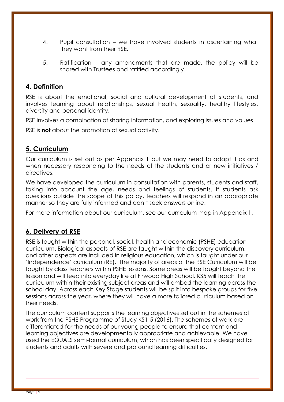- 4. Pupil consultation we have involved students in ascertaining what they want from their RSE.
- 5. Ratification any amendments that are made, the policy will be shared with Trustees and ratified accordingly.

### **4. Definition**

RSE is about the emotional, social and cultural development of students, and involves learning about relationships, sexual health, sexuality, healthy lifestyles, diversity and personal identity.

RSE involves a combination of sharing information, and exploring issues and values.

RSE is **not** about the promotion of sexual activity.

# **5. Curriculum**

Our curriculum is set out as per Appendix 1 but we may need to adapt it as and when necessary responding to the needs of the students and or new initiatives / directives.

We have developed the curriculum in consultation with parents, students and staff, taking into account the age, needs and feelings of students. If students ask questions outside the scope of this policy, teachers will respond in an appropriate manner so they are fully informed and don't seek answers online.

For more information about our curriculum, see our curriculum map in Appendix 1.

# **6. Delivery of RSE**

RSE is taught within the personal, social, health and economic (PSHE) education curriculum. Biological aspects of RSE are taught within the discovery curriculum, and other aspects are included in religious education, which is taught under our 'Independence' curriculum (RE). The majority of areas of the RSE Curriculum will be taught by class teachers within PSHE lessons. Some areas will be taught beyond the lesson and will feed into everyday life at Firwood High School. KS5 will teach the curriculum within their existing subject areas and will embed the learning across the school day. Across each Key Stage students will be split into bespoke groups for five sessions across the year, where they will have a more tailored curriculum based on their needs.

The curriculum content supports the learning objectives set out in the schemes of work from the PSHE Programme of Study KS1-5 (2016). The schemes of work are differentiated for the needs of our young people to ensure that content and learning objectives are developmentally appropriate and achievable. We have used the EQUALS semi-formal curriculum, which has been specifically designed for students and adults with severe and profound learning difficulties.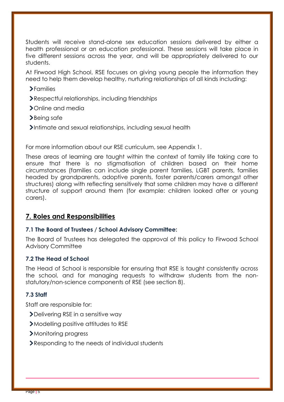Students will receive stand-alone sex education sessions delivered by either a health professional or an education professional. These sessions will take place in five different sessions across the year, and will be appropriately delivered to our students.

At Firwood High School, RSE focuses on giving young people the information they need to help them develop healthy, nurturing relationships of all kinds including:

- Families
- Respectful relationships, including friendships
- > Online and media
- >Being safe
- Intimate and sexual relationships, including sexual health

For more information about our RSE curriculum, see Appendix 1.

These areas of learning are taught within the context of family life taking care to ensure that there is no stigmatisation of children based on their home circumstances (families can include single parent families, LGBT parents, families headed by grandparents, adoptive parents, foster parents/carers amongst other structures) along with reflecting sensitively that some children may have a different structure of support around them (for example: children looked after or young carers).

#### **7. Roles and Responsibilities**

#### **7.1 The Board of Trustees / School Advisory Committee:**

The Board of Trustees has delegated the approval of this policy to Firwood School Advisory Committee

#### **7.2 The Head of School**

The Head of School is responsible for ensuring that RSE is taught consistently across the school, and for managing requests to withdraw students from the nonstatutory/non-science components of RSE (see section 8).

#### **7.3 Staff**

Staff are responsible for:

- Delivering RSE in a sensitive way
- Modelling positive attitudes to RSE
- Monitoring progress
- Responding to the needs of individual students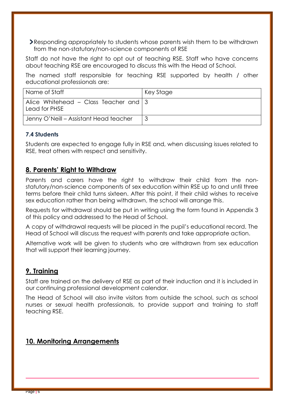Responding appropriately to students whose parents wish them to be withdrawn from the non-statutory/non-science components of RSE

Staff do not have the right to opt out of teaching RSE. Staff who have concerns about teaching RSE are encouraged to discuss this with the Head of School.

The named staff responsible for teaching RSE supported by health / other educational professionals are:

| Name of Staff                                              | Key Stage |
|------------------------------------------------------------|-----------|
| Alice Whitehead – Class Teacher and $ 3 $<br>Lead for PHSE |           |
| Jenny O'Neill – Assistant Head teacher                     |           |

#### **7.4 Students**

Students are expected to engage fully in RSE and, when discussing issues related to RSE, treat others with respect and sensitivity.

## **8. Parents' Right to Withdraw**

Parents and carers have the right to withdraw their child from the nonstatutory/non-science components of sex education within RSE up to and until three terms before their child turns sixteen. After this point, if their child wishes to receive sex education rather than being withdrawn, the school will arrange this.

Requests for withdrawal should be put in writing using the form found in Appendix 3 of this policy and addressed to the Head of School.

A copy of withdrawal requests will be placed in the pupil's educational record. The Head of School will discuss the request with parents and take appropriate action.

Alternative work will be given to students who are withdrawn from sex education that will support their learning journey.

#### **9. Training**

Staff are trained on the delivery of RSE as part of their induction and it is included in our continuing professional development calendar.

The Head of School will also invite visitors from outside the school, such as school nurses or sexual health professionals, to provide support and training to staff teaching RSE.

# **10. Monitoring Arrangements**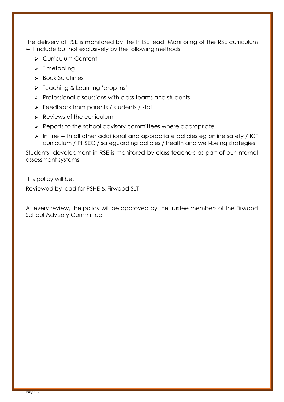The delivery of RSE is monitored by the PHSE lead. Monitoring of the RSE curriculum will include but not exclusively by the following methods:

- ▶ Curriculum Content
- $\triangleright$  Timetabling
- $\triangleright$  Book Scrutinies
- $\triangleright$  Teaching & Learning 'drop ins'
- $\triangleright$  Professional discussions with class teams and students
- Feedback from parents / students / staff
- $\triangleright$  Reviews of the curriculum
- $\triangleright$  Reports to the school advisory committees where appropriate
- In line with all other additional and appropriate policies eg online safety / ICT curriculum / PHSEC / safeguarding policies / health and well-being strategies.

Students' development in RSE is monitored by class teachers as part of our internal assessment systems.

This policy will be:

Reviewed by lead for PSHE & Firwood SLT

At every review, the policy will be approved by the trustee members of the Firwood School Advisory Committee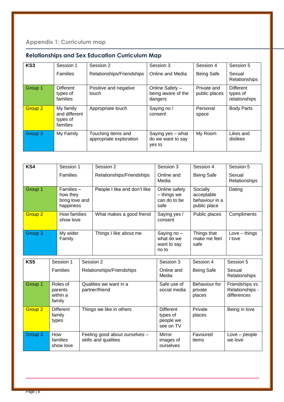| KS <sub>3</sub>    | Session 1                                          | Session 2                                     | Session 3                                        | Session 4                    | Session 5                                     |
|--------------------|----------------------------------------------------|-----------------------------------------------|--------------------------------------------------|------------------------------|-----------------------------------------------|
|                    | <b>Families</b>                                    | Relationships/Friendships                     | Online and Media                                 | <b>Being Safe</b>            | Sexual<br>Relationships                       |
| Group 1            | <b>Different</b><br>types of<br>families           | Positive and negative<br>touch                | Online Safety -<br>being aware of the<br>dangers | Private and<br>public places | <b>Different</b><br>types of<br>relationships |
| Group <sub>2</sub> | My family<br>and different<br>types of<br>families | Appropriate touch                             | Saying no /<br>consent                           | Personal<br>space            | <b>Body Parts</b>                             |
| Group 3            | My Family                                          | Touching items and<br>appropriate exploration | Saying yes - what<br>do we want to say<br>yes to | My Room                      | Likes and<br>dislikes                         |

# **Relationships and Sex Education Curriculum Map**

| KS4                | Session 1                                                  |           | Session 2                                              | Session 3                                              | Session 4                                                | Session 5                                        |
|--------------------|------------------------------------------------------------|-----------|--------------------------------------------------------|--------------------------------------------------------|----------------------------------------------------------|--------------------------------------------------|
|                    | Families                                                   |           | Relationships/Friendships                              | Online and<br>Media                                    | <b>Being Safe</b>                                        | Sexual<br>Relationships                          |
| Group 1            | $F$ amilies $-$<br>how they<br>bring love and<br>happiness |           | People I like and don't like                           | Online safety<br>- things we<br>can do to be<br>safe   | Socially<br>acceptable<br>behaviour in a<br>public place | Dating                                           |
| Group <sub>2</sub> | How families<br>show love                                  |           | What makes a good friend                               | Saying yes /<br>consent                                | Public places                                            | Compliments                                      |
| Group 3            | My wider<br>Family                                         |           | Things I like about me                                 | Saying no -<br>what do we<br>want to say<br>no to      | Things that<br>make me feel<br>safe                      | $Love - things$<br>I love                        |
| KS5                | Session 1                                                  | Session 2 |                                                        | Session 3                                              | Session 4                                                | Session 5                                        |
|                    | <b>Families</b>                                            |           | Relationships/Friendships                              | Online and<br>Media                                    | <b>Being Safe</b>                                        | Sexual<br>Relationships                          |
| Group 1            | Roles of<br>parents<br>within a<br>family                  |           | Qualities we want in a<br>partner/friend               | Safe use of<br>social media                            | Behaviour for<br>private<br>places                       | Friendships vs<br>Relationships -<br>differences |
| Group <sub>2</sub> | <b>Different</b><br>family<br>types                        |           | Things we like in others                               | <b>Different</b><br>types of<br>people we<br>see on TV | Private<br>places                                        | Being in love                                    |
| Group <sub>3</sub> | How<br>families<br>show love                               |           | Feeling good about ourselves -<br>skills and qualities | <b>Mirror</b><br>images of<br>ourselves                | Favoured<br>items                                        | Love - people<br>we love                         |